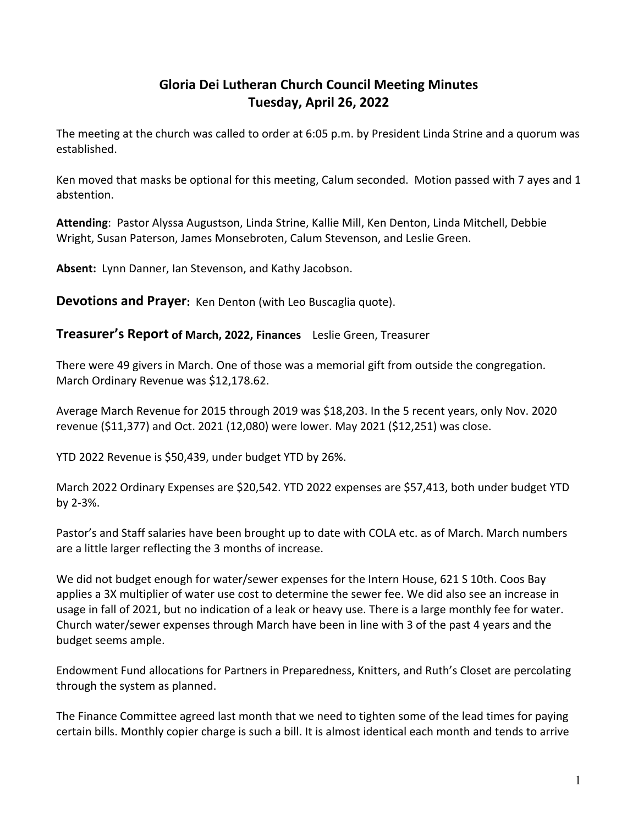# **Gloria Dei Lutheran Church Council Meeting Minutes Tuesday, April 26, 2022**

The meeting at the church was called to order at 6:05 p.m. by President Linda Strine and a quorum was established.

Ken moved that masks be optional for this meeting, Calum seconded. Motion passed with 7 ayes and 1 abstention.

**Attending**: Pastor Alyssa Augustson, Linda Strine, Kallie Mill, Ken Denton, Linda Mitchell, Debbie Wright, Susan Paterson, James Monsebroten, Calum Stevenson, and Leslie Green.

**Absent:** Lynn Danner, Ian Stevenson, and Kathy Jacobson.

**Devotions and Prayer:** Ken Denton (with Leo Buscaglia quote).

#### **Treasurer's Report of March, 2022, Finances** Leslie Green, Treasurer

There were 49 givers in March. One of those was a memorial gift from outside the congregation. March Ordinary Revenue was \$12,178.62.

Average March Revenue for 2015 through 2019 was \$18,203. In the 5 recent years, only Nov. 2020 revenue (\$11,377) and Oct. 2021 (12,080) were lower. May 2021 (\$12,251) was close.

YTD 2022 Revenue is \$50,439, under budget YTD by 26%.

March 2022 Ordinary Expenses are \$20,542. YTD 2022 expenses are \$57,413, both under budget YTD by 2-3%.

Pastor's and Staff salaries have been brought up to date with COLA etc. as of March. March numbers are a little larger reflecting the 3 months of increase.

We did not budget enough for water/sewer expenses for the Intern House, 621 S 10th. Coos Bay applies a 3X multiplier of water use cost to determine the sewer fee. We did also see an increase in usage in fall of 2021, but no indication of a leak or heavy use. There is a large monthly fee for water. Church water/sewer expenses through March have been in line with 3 of the past 4 years and the budget seems ample.

Endowment Fund allocations for Partners in Preparedness, Knitters, and Ruth's Closet are percolating through the system as planned.

The Finance Committee agreed last month that we need to tighten some of the lead times for paying certain bills. Monthly copier charge is such a bill. It is almost identical each month and tends to arrive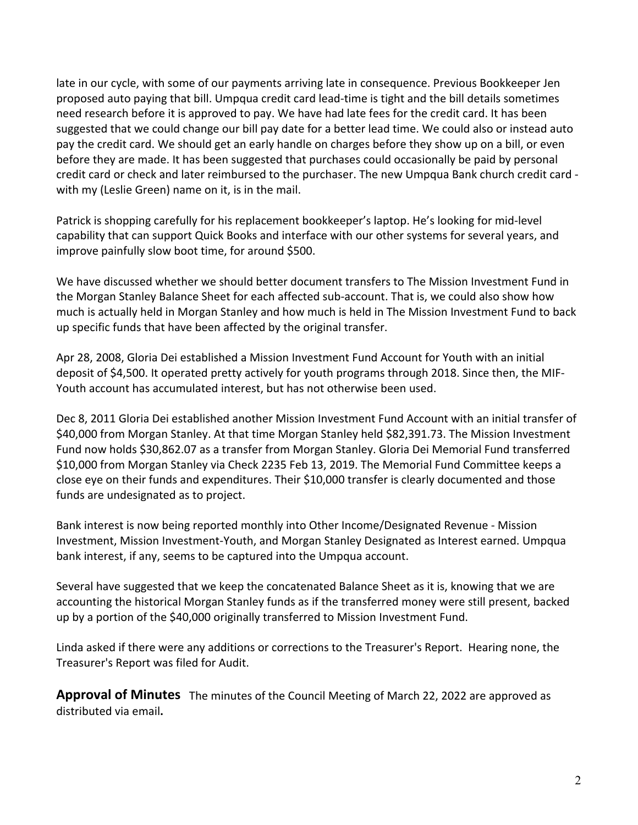late in our cycle, with some of our payments arriving late in consequence. Previous Bookkeeper Jen proposed auto paying that bill. Umpqua credit card lead-time is tight and the bill details sometimes need research before it is approved to pay. We have had late fees for the credit card. It has been suggested that we could change our bill pay date for a better lead time. We could also or instead auto pay the credit card. We should get an early handle on charges before they show up on a bill, or even before they are made. It has been suggested that purchases could occasionally be paid by personal credit card or check and later reimbursed to the purchaser. The new Umpqua Bank church credit card with my (Leslie Green) name on it, is in the mail.

Patrick is shopping carefully for his replacement bookkeeper's laptop. He's looking for mid-level capability that can support Quick Books and interface with our other systems for several years, and improve painfully slow boot time, for around \$500.

We have discussed whether we should better document transfers to The Mission Investment Fund in the Morgan Stanley Balance Sheet for each affected sub-account. That is, we could also show how much is actually held in Morgan Stanley and how much is held in The Mission Investment Fund to back up specific funds that have been affected by the original transfer.

Apr 28, 2008, Gloria Dei established a Mission Investment Fund Account for Youth with an initial deposit of \$4,500. It operated pretty actively for youth programs through 2018. Since then, the MIF-Youth account has accumulated interest, but has not otherwise been used.

Dec 8, 2011 Gloria Dei established another Mission Investment Fund Account with an initial transfer of \$40,000 from Morgan Stanley. At that time Morgan Stanley held \$82,391.73. The Mission Investment Fund now holds \$30,862.07 as a transfer from Morgan Stanley. Gloria Dei Memorial Fund transferred \$10,000 from Morgan Stanley via Check 2235 Feb 13, 2019. The Memorial Fund Committee keeps a close eye on their funds and expenditures. Their \$10,000 transfer is clearly documented and those funds are undesignated as to project.

Bank interest is now being reported monthly into Other Income/Designated Revenue - Mission Investment, Mission Investment-Youth, and Morgan Stanley Designated as Interest earned. Umpqua bank interest, if any, seems to be captured into the Umpqua account.

Several have suggested that we keep the concatenated Balance Sheet as it is, knowing that we are accounting the historical Morgan Stanley funds as if the transferred money were still present, backed up by a portion of the \$40,000 originally transferred to Mission Investment Fund.

Linda asked if there were any additions or corrections to the Treasurer's Report. Hearing none, the Treasurer's Report was filed for Audit.

**Approval of Minutes** The minutes of the Council Meeting of March 22, 2022 are approved as distributed via email**.**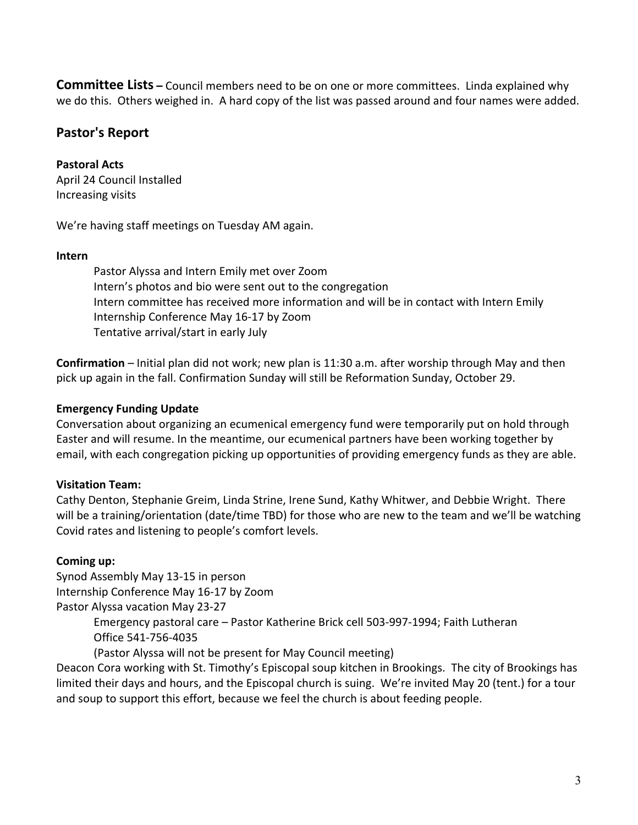**Committee Lists** – Council members need to be on one or more committees. Linda explained why we do this. Others weighed in. A hard copy of the list was passed around and four names were added.

## **Pastor's Report**

#### **Pastoral Acts**

April 24 Council Installed Increasing visits

We're having staff meetings on Tuesday AM again.

#### **Intern**

Pastor Alyssa and Intern Emily met over Zoom Intern's photos and bio were sent out to the congregation Intern committee has received more information and will be in contact with Intern Emily Internship Conference May 16-17 by Zoom Tentative arrival/start in early July

**Confirmation** – Initial plan did not work; new plan is 11:30 a.m. after worship through May and then pick up again in the fall. Confirmation Sunday will still be Reformation Sunday, October 29.

#### **Emergency Funding Update**

Conversation about organizing an ecumenical emergency fund were temporarily put on hold through Easter and will resume. In the meantime, our ecumenical partners have been working together by email, with each congregation picking up opportunities of providing emergency funds as they are able.

#### **Visitation Team:**

Cathy Denton, Stephanie Greim, Linda Strine, Irene Sund, Kathy Whitwer, and Debbie Wright. There will be a training/orientation (date/time TBD) for those who are new to the team and we'll be watching Covid rates and listening to people's comfort levels.

#### **Coming up:**

Synod Assembly May 13-15 in person Internship Conference May 16-17 by Zoom Pastor Alyssa vacation May 23-27

> Emergency pastoral care – Pastor Katherine Brick cell 503-997-1994; Faith Lutheran Office 541-756-4035

(Pastor Alyssa will not be present for May Council meeting)

Deacon Cora working with St. Timothy's Episcopal soup kitchen in Brookings. The city of Brookings has limited their days and hours, and the Episcopal church is suing. We're invited May 20 (tent.) for a tour and soup to support this effort, because we feel the church is about feeding people.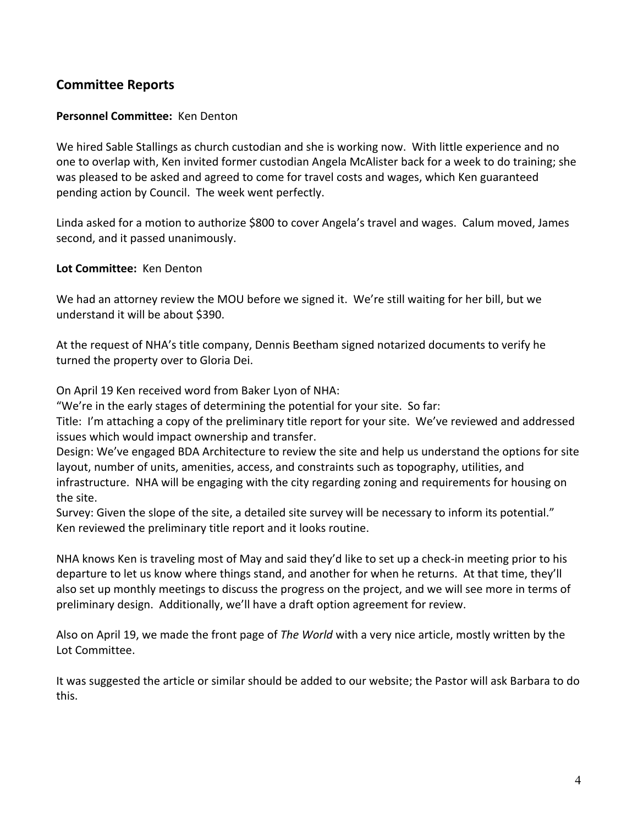## **Committee Reports**

#### **Personnel Committee:** Ken Denton

We hired Sable Stallings as church custodian and she is working now. With little experience and no one to overlap with, Ken invited former custodian Angela McAlister back for a week to do training; she was pleased to be asked and agreed to come for travel costs and wages, which Ken guaranteed pending action by Council. The week went perfectly.

Linda asked for a motion to authorize \$800 to cover Angela's travel and wages. Calum moved, James second, and it passed unanimously.

**Lot Committee:** Ken Denton

We had an attorney review the MOU before we signed it. We're still waiting for her bill, but we understand it will be about \$390.

At the request of NHA's title company, Dennis Beetham signed notarized documents to verify he turned the property over to Gloria Dei.

On April 19 Ken received word from Baker Lyon of NHA:

"We're in the early stages of determining the potential for your site. So far:

Title: I'm attaching a copy of the preliminary title report for your site. We've reviewed and addressed issues which would impact ownership and transfer.

Design: We've engaged BDA Architecture to review the site and help us understand the options for site layout, number of units, amenities, access, and constraints such as topography, utilities, and infrastructure. NHA will be engaging with the city regarding zoning and requirements for housing on the site.

Survey: Given the slope of the site, a detailed site survey will be necessary to inform its potential." Ken reviewed the preliminary title report and it looks routine.

NHA knows Ken is traveling most of May and said they'd like to set up a check-in meeting prior to his departure to let us know where things stand, and another for when he returns. At that time, they'll also set up monthly meetings to discuss the progress on the project, and we will see more in terms of preliminary design. Additionally, we'll have a draft option agreement for review.

Also on April 19, we made the front page of *The World* with a very nice article, mostly written by the Lot Committee.

It was suggested the article or similar should be added to our website; the Pastor will ask Barbara to do this.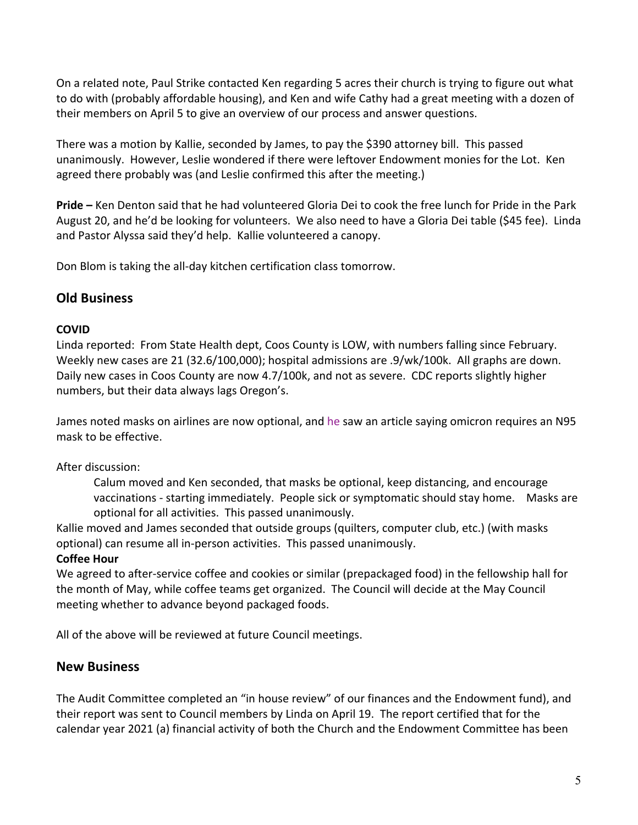On a related note, Paul Strike contacted Ken regarding 5 acres their church is trying to figure out what to do with (probably affordable housing), and Ken and wife Cathy had a great meeting with a dozen of their members on April 5 to give an overview of our process and answer questions.

There was a motion by Kallie, seconded by James, to pay the \$390 attorney bill. This passed unanimously. However, Leslie wondered if there were leftover Endowment monies for the Lot. Ken agreed there probably was (and Leslie confirmed this after the meeting.)

**Pride –** Ken Denton said that he had volunteered Gloria Dei to cook the free lunch for Pride in the Park August 20, and he'd be looking for volunteers. We also need to have a Gloria Dei table (\$45 fee). Linda and Pastor Alyssa said they'd help. Kallie volunteered a canopy.

Don Blom is taking the all-day kitchen certification class tomorrow.

## **Old Business**

### **COVID**

Linda reported: From State Health dept, Coos County is LOW, with numbers falling since February. Weekly new cases are 21 (32.6/100,000); hospital admissions are .9/wk/100k. All graphs are down. Daily new cases in Coos County are now 4.7/100k, and not as severe. CDC reports slightly higher numbers, but their data always lags Oregon's.

James noted masks on airlines are now optional, and he saw an article saying omicron requires an N95 mask to be effective.

### After discussion:

Calum moved and Ken seconded, that masks be optional, keep distancing, and encourage vaccinations - starting immediately. People sick or symptomatic should stay home. Masks are optional for all activities. This passed unanimously.

Kallie moved and James seconded that outside groups (quilters, computer club, etc.) (with masks optional) can resume all in-person activities. This passed unanimously.

### **Coffee Hour**

We agreed to after-service coffee and cookies or similar (prepackaged food) in the fellowship hall for the month of May, while coffee teams get organized. The Council will decide at the May Council meeting whether to advance beyond packaged foods.

All of the above will be reviewed at future Council meetings.

## **New Business**

The Audit Committee completed an "in house review" of our finances and the Endowment fund), and their report was sent to Council members by Linda on April 19. The report certified that for the calendar year 2021 (a) financial activity of both the Church and the Endowment Committee has been